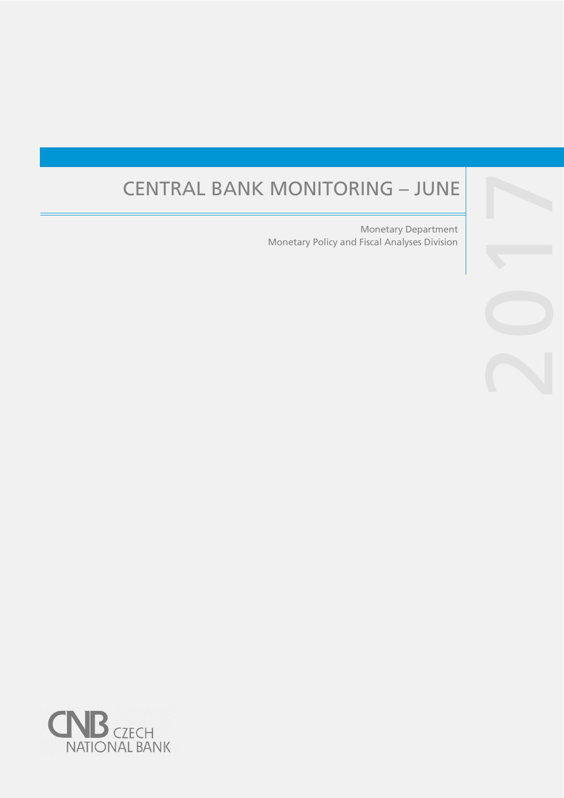# CENTRAL BANK MONITORING – JUNE

Monetary Policy and Fiscal Analyses Division Monetary Department

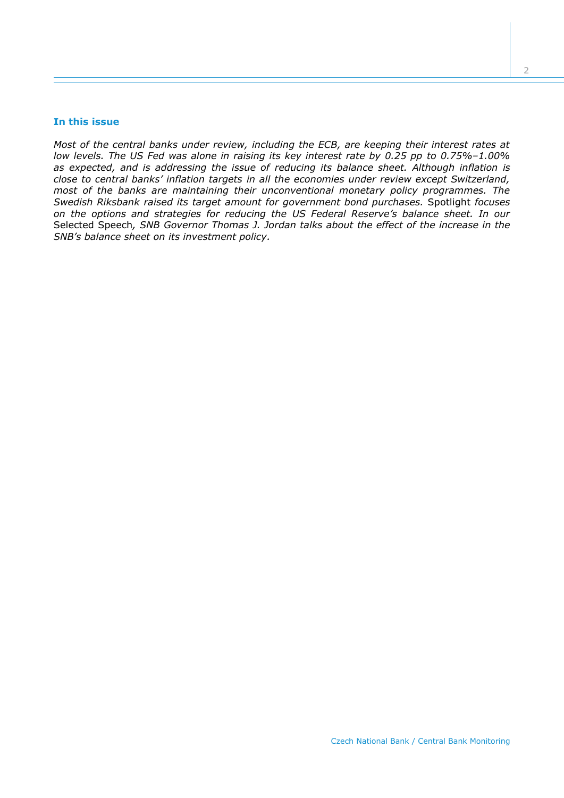## **In this issue**

*Most of the central banks under review, including the ECB, are keeping their interest rates at low levels. The US Fed was alone in raising its key interest rate by 0.25 pp to 0.75%–1.00% as expected, and is addressing the issue of reducing its balance sheet. Although inflation is close to central banks' inflation targets in all the economies under review except Switzerland, most of the banks are maintaining their unconventional monetary policy programmes. The Swedish Riksbank raised its target amount for government bond purchases.* Spotlight *focuses on the options and strategies for reducing the US Federal Reserve's balance sheet. In our*  Selected Speech*, SNB Governor Thomas J. Jordan talks about the effect of the increase in the SNB's balance sheet on its investment policy.*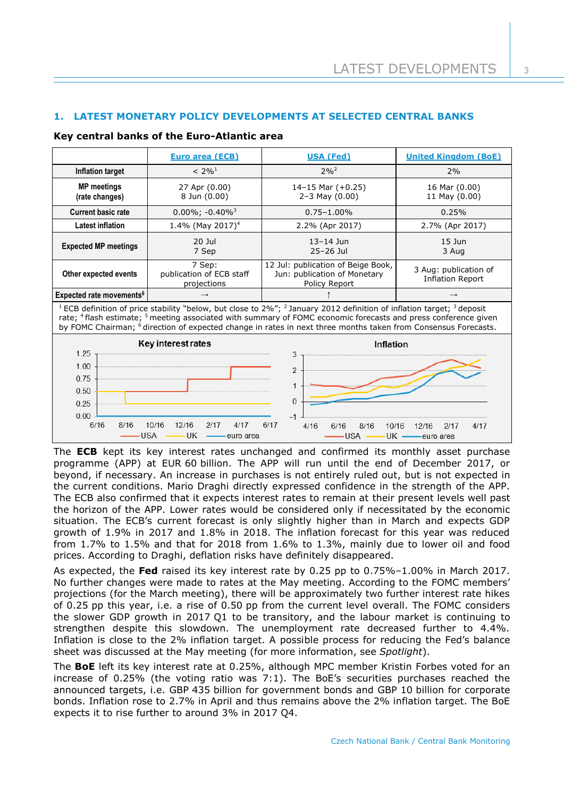# **1. LATEST MONETARY POLICY DEVELOPMENTS AT SELECTED CENTRAL BANKS**

## **Key central banks of the Euro-Atlantic area**

|                                                                                                                                                                                                                                                                                                                                                                                                                               | <b>Euro area (ECB)</b>                                           | <b>USA (Fed)</b>                                                                    | <b>United Kingdom (BoE)</b>                      |  |  |
|-------------------------------------------------------------------------------------------------------------------------------------------------------------------------------------------------------------------------------------------------------------------------------------------------------------------------------------------------------------------------------------------------------------------------------|------------------------------------------------------------------|-------------------------------------------------------------------------------------|--------------------------------------------------|--|--|
| <b>Inflation target</b>                                                                                                                                                                                                                                                                                                                                                                                                       | $2\%^{2}$<br>$< 2\%$ <sup>1</sup>                                |                                                                                     | 2%                                               |  |  |
| <b>MP</b> meetings<br>27 Apr (0.00)<br>8 Jun (0.00)<br>(rate changes)                                                                                                                                                                                                                                                                                                                                                         |                                                                  | 14-15 Mar $(+0.25)$<br>$2 - 3$ May $(0.00)$                                         | 16 Mar (0.00)<br>11 May (0.00)                   |  |  |
| <b>Current basic rate</b>                                                                                                                                                                                                                                                                                                                                                                                                     | $0.00\%$ ; -0.40% <sup>3</sup>                                   | $0.75 - 1.00\%$                                                                     | 0.25%                                            |  |  |
| <b>Latest inflation</b>                                                                                                                                                                                                                                                                                                                                                                                                       | 1.4% (May 2017) <sup>4</sup>                                     | 2.2% (Apr 2017)                                                                     | 2.7% (Apr 2017)                                  |  |  |
| <b>Expected MP meetings</b>                                                                                                                                                                                                                                                                                                                                                                                                   | $20$ Jul<br>7 Sep                                                | $13 - 14$ Jun<br>25-26 Jul                                                          | $15$ Jun<br>3 Aug                                |  |  |
| Other expected events                                                                                                                                                                                                                                                                                                                                                                                                         | 7 Sep:<br>publication of ECB staff<br>projections                | 12 Jul: publication of Beige Book,<br>Jun: publication of Monetary<br>Policy Report | 3 Aug: publication of<br><b>Inflation Report</b> |  |  |
| Expected rate movements <sup>6</sup>                                                                                                                                                                                                                                                                                                                                                                                          | $\rightarrow$                                                    |                                                                                     | $\rightarrow$                                    |  |  |
| <sup>1</sup> ECB definition of price stability "below, but close to 2%"; <sup>2</sup> January 2012 definition of inflation target; <sup>3</sup> deposit<br>rate; <sup>4</sup> flash estimate; <sup>5</sup> meeting associated with summary of FOMC economic forecasts and press conference given<br>by FOMC Chairman; <sup>6</sup> direction of expected change in rates in next three months taken from Consensus Forecasts. |                                                                  |                                                                                     |                                                  |  |  |
| 1.25<br>1.00<br>0.75                                                                                                                                                                                                                                                                                                                                                                                                          | Key interest rates                                               | Inflation<br>3<br>$\overline{2}$                                                    |                                                  |  |  |
| 0.50<br>0.25<br>0.00                                                                                                                                                                                                                                                                                                                                                                                                          |                                                                  | 1<br>$\Omega$                                                                       |                                                  |  |  |
| 6/16<br>8/16                                                                                                                                                                                                                                                                                                                                                                                                                  | 10/16<br>12/16<br>2/17<br>4/17<br><b>USA</b><br>-UK<br>euro area | 6/17<br>4/16<br>6/16<br>8/16<br>10/16<br>$-$ USA $-$                                | 12/16<br>2/17<br>4/17<br>UK - euro area          |  |  |

The **ECB** kept its key interest rates unchanged and confirmed its monthly asset purchase programme (APP) at EUR 60 billion. The APP will run until the end of December 2017, or beyond, if necessary. An increase in purchases is not entirely ruled out, but is not expected in the current conditions. Mario Draghi directly expressed confidence in the strength of the APP. The ECB also confirmed that it expects interest rates to remain at their present levels well past the horizon of the APP. Lower rates would be considered only if necessitated by the economic situation. The ECB's current forecast is only slightly higher than in March and expects GDP growth of 1.9% in 2017 and 1.8% in 2018. The inflation forecast for this year was reduced from 1.7% to 1.5% and that for 2018 from 1.6% to 1.3%, mainly due to lower oil and food prices. According to Draghi, deflation risks have definitely disappeared.

As expected, the **Fed** raised its key interest rate by 0.25 pp to 0.75%–1.00% in March 2017. No further changes were made to rates at the May meeting. According to the FOMC members' projections (for the March meeting), there will be approximately two further interest rate hikes of 0.25 pp this year, i.e. a rise of 0.50 pp from the current level overall. The FOMC considers the slower GDP growth in 2017 Q1 to be transitory, and the labour market is continuing to strengthen despite this slowdown. The unemployment rate decreased further to 4.4%. Inflation is close to the 2% inflation target. A possible process for reducing the Fed's balance sheet was discussed at the May meeting (for more information, see *Spotlight*).

The **BoE** left its key interest rate at 0.25%, although MPC member Kristin Forbes voted for an increase of 0.25% (the voting ratio was 7:1). The BoE's securities purchases reached the announced targets, i.e. GBP 435 billion for government bonds and GBP 10 billion for corporate bonds. Inflation rose to 2.7% in April and thus remains above the 2% inflation target. The BoE expects it to rise further to around 3% in 2017 Q4.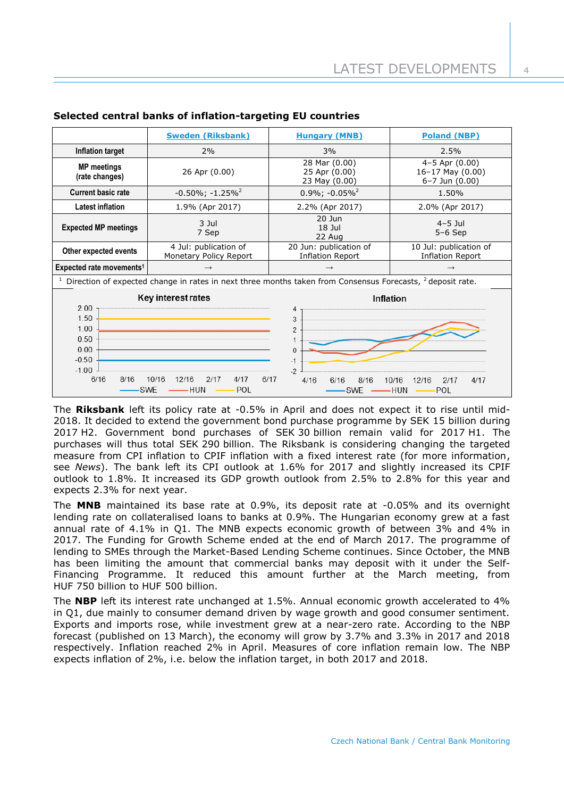|                                                                                                                                                                                                                               | <b>Sweden (Riksbank)</b>                                                                                              | <b>Hungary (MNB)</b>                             | <b>Poland (NBP)</b>                                                |  |  |
|-------------------------------------------------------------------------------------------------------------------------------------------------------------------------------------------------------------------------------|-----------------------------------------------------------------------------------------------------------------------|--------------------------------------------------|--------------------------------------------------------------------|--|--|
| Inflation target                                                                                                                                                                                                              | 2%                                                                                                                    | 3%                                               | 2.5%                                                               |  |  |
| <b>MP</b> meetings<br>26 Apr (0.00)<br>(rate changes)                                                                                                                                                                         |                                                                                                                       | 28 Mar (0.00)<br>25 Apr (0.00)<br>23 May (0.00)  | $4-5$ Apr $(0.00)$<br>$16-17$ May $(0.00)$<br>$6 - 7$ Jun $(0.00)$ |  |  |
| <b>Current basic rate</b>                                                                                                                                                                                                     | $-0.50\%$ ; $-1.25\%$ <sup>2</sup>                                                                                    | $0.9\%$ ; -0.05% <sup>2</sup>                    | 1.50%                                                              |  |  |
| <b>Latest inflation</b>                                                                                                                                                                                                       | 1.9% (Apr 2017)                                                                                                       | 2.2% (Apr 2017)                                  | 2.0% (Apr 2017)                                                    |  |  |
| <b>Expected MP meetings</b>                                                                                                                                                                                                   | $20$ Jun<br>$3$ Jul<br>$18$ Jul<br>7 Sep<br>22 Aug                                                                    |                                                  | $4-5$ Jul<br>$5-6$ Sep                                             |  |  |
| Other expected events                                                                                                                                                                                                         | 4 Jul: publication of<br>20 Jun: publication of<br><b>Inflation Report</b><br>Monetary Policy Report                  |                                                  | 10 Jul: publication of<br><b>Inflation Report</b>                  |  |  |
| Expected rate movements <sup>1</sup><br>$\rightarrow$                                                                                                                                                                         |                                                                                                                       | $\rightarrow$                                    | $\rightarrow$                                                      |  |  |
|                                                                                                                                                                                                                               | Direction of expected change in rates in next three months taken from Consensus Forecasts, <sup>2</sup> deposit rate. |                                                  |                                                                    |  |  |
| Key interest rates<br><b>Inflation</b><br>2.00<br>4<br><u> 1989 - Johann Marie Barn, mars eta industrial eta industrial eta industrial eta industrial eta industrial e</u><br>1.50<br>$\mathcal{R}$<br>1.00<br>$\mathfrak{p}$ |                                                                                                                       |                                                  |                                                                    |  |  |
| 0.50<br>0.00<br>$-0.50$<br>$-1.00$<br>6/16<br>8/16<br><b>SWE</b>                                                                                                                                                              | 2/17<br>6/17<br>10/16<br>12/16<br>4/17<br>— HUN<br>POL                                                                | $\Omega$<br>$-1$<br>$-2$<br>4/16<br>6/16<br>8/16 | 10/16<br>12/16<br>4/17<br>2/17                                     |  |  |

## **Selected central banks of inflation-targeting EU countries**

The **Riksbank** left its policy rate at -0.5% in April and does not expect it to rise until mid-2018. It decided to extend the government bond purchase programme by SEK 15 billion during 2017 H2. Government bond purchases of SEK 30 billion remain valid for 2017 H1. The purchases will thus total SEK 290 billion. The Riksbank is considering changing the targeted measure from CPI inflation to CPIF inflation with a fixed interest rate (for more information, see *News*). The bank left its CPI outlook at 1.6% for 2017 and slightly increased its CPIF outlook to 1.8%. It increased its GDP growth outlook from 2.5% to 2.8% for this year and expects 2.3% for next year.

The **MNB** maintained its base rate at 0.9%, its deposit rate at -0.05% and its overnight lending rate on collateralised loans to banks at 0.9%. The Hungarian economy grew at a fast annual rate of 4.1% in Q1. The MNB expects economic growth of between 3% and 4% in 2017. The Funding for Growth Scheme ended at the end of March 2017. The programme of lending to SMEs through the Market-Based Lending Scheme continues. Since October, the MNB has been limiting the amount that commercial banks may deposit with it under the Self-Financing Programme. It reduced this amount further at the March meeting, from HUF 750 billion to HUF 500 billion.

The **NBP** left its interest rate unchanged at 1.5%. Annual economic growth accelerated to 4% in Q1, due mainly to consumer demand driven by wage growth and good consumer sentiment. Exports and imports rose, while investment grew at a near-zero rate. According to the NBP forecast (published on 13 March), the economy will grow by 3.7% and 3.3% in 2017 and 2018 respectively. Inflation reached 2% in April. Measures of core inflation remain low. The NBP expects inflation of 2%, i.e. below the inflation target, in both 2017 and 2018.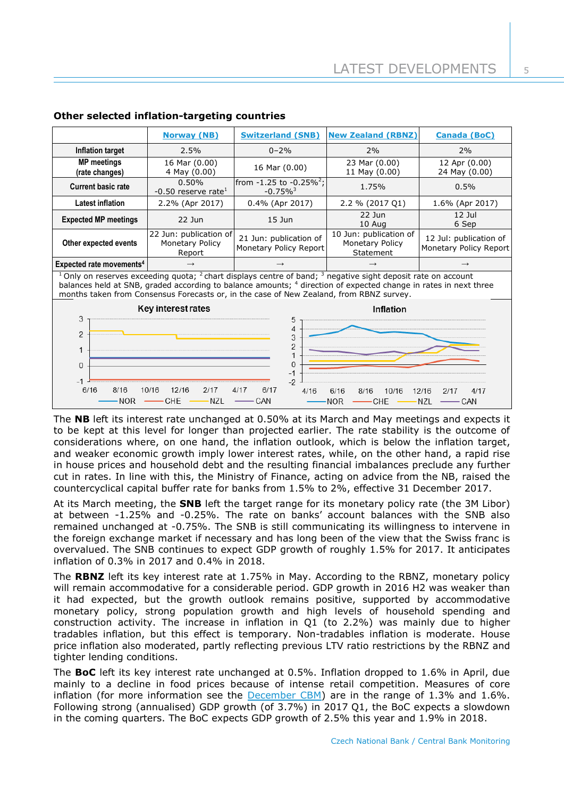|                                                                                                                                                                                                                                                                                                                                                        | <b>Norway (NB)</b>                                  | <b>Switzerland (SNB)</b>                                | <b>New Zealand (RBNZ)</b>                              | <b>Canada (BoC)</b>                              |  |
|--------------------------------------------------------------------------------------------------------------------------------------------------------------------------------------------------------------------------------------------------------------------------------------------------------------------------------------------------------|-----------------------------------------------------|---------------------------------------------------------|--------------------------------------------------------|--------------------------------------------------|--|
| <b>Inflation target</b>                                                                                                                                                                                                                                                                                                                                | 2.5%                                                | $0 - 2%$                                                | 2%                                                     | 2%                                               |  |
| <b>MP</b> meetings<br>(rate changes)                                                                                                                                                                                                                                                                                                                   | 16 Mar (0.00)<br>4 May (0.00)                       | 16 Mar (0.00)                                           | 23 Mar (0.00)<br>11 May (0.00)                         | 12 Apr (0.00)<br>24 May (0.00)                   |  |
| <b>Current basic rate</b>                                                                                                                                                                                                                                                                                                                              | 0.50%<br>$-0.50$ reserve rate <sup>1</sup>          | from $-1.25$ to $-0.25\%^2$ ;<br>$-0.75\%$ <sup>3</sup> | 1.75%                                                  | 0.5%                                             |  |
| <b>Latest inflation</b>                                                                                                                                                                                                                                                                                                                                | 2.2% (Apr 2017)                                     | $0.4\%$ (Apr 2017)                                      | 2.2 % (2017 Q1)                                        | 1.6% (Apr 2017)                                  |  |
| <b>Expected MP meetings</b>                                                                                                                                                                                                                                                                                                                            | $22$ Jun                                            | $15$ Jun                                                | $22$ Jun<br>10 Aug                                     | $12$ Jul<br>6 Sep                                |  |
| Other expected events                                                                                                                                                                                                                                                                                                                                  | 22 Jun: publication of<br>Monetary Policy<br>Report | 21 Jun: publication of<br>Monetary Policy Report        | 10 Jun: publication of<br>Monetary Policy<br>Statement | 12 Jul: publication of<br>Monetary Policy Report |  |
| Expected rate movements <sup>4</sup>                                                                                                                                                                                                                                                                                                                   |                                                     |                                                         |                                                        |                                                  |  |
| $1$ Only on reserves exceeding quota; $2$ chart displays centre of band; $3$ negative sight deposit rate on account<br>balances held at SNB, graded according to balance amounts; <sup>4</sup> direction of expected change in rates in next three<br>months taken from Consensus Forecasts or, in the case of New Zealand, from RBNZ survey.          |                                                     |                                                         |                                                        |                                                  |  |
| Key interest rates<br>Inflation<br>3<br>5<br>4<br>$\overline{2}$<br>3<br>$\overline{\phantom{a}}$<br>1<br>0<br>$\Omega$<br>$-1$<br>$-1$<br>$-2$<br>6/16<br>8/16<br>10/16<br>12/16<br>2/17<br>6/17<br>4/17<br>4/16<br>6/16<br>12/16<br>4/17<br>8/16<br>10/16<br>2/17<br><b>NZL</b><br>CAN<br>CHE<br><b>NOR</b><br>NOR<br>N <sub>7</sub><br>— CAN<br>CHE |                                                     |                                                         |                                                        |                                                  |  |

## **Other selected inflation-targeting countries**

The **NB** left its interest rate unchanged at 0.50% at its March and May meetings and expects it to be kept at this level for longer than projected earlier. The rate stability is the outcome of considerations where, on one hand, the inflation outlook, which is below the inflation target, and weaker economic growth imply lower interest rates, while, on the other hand, a rapid rise in house prices and household debt and the resulting financial imbalances preclude any further cut in rates. In line with this, the Ministry of Finance, acting on advice from the NB, raised the countercyclical capital buffer rate for banks from 1.5% to 2%, effective 31 December 2017.

At its March meeting, the **SNB** left the target range for its monetary policy rate (the 3M Libor) at between -1.25% and -0.25%. The rate on banks' account balances with the SNB also remained unchanged at -0.75%. The SNB is still communicating its willingness to intervene in the foreign exchange market if necessary and has long been of the view that the Swiss franc is overvalued. The SNB continues to expect GDP growth of roughly 1.5% for 2017. It anticipates inflation of 0.3% in 2017 and 0.4% in 2018.

The **RBNZ** left its key interest rate at 1.75% in May. According to the RBNZ, monetary policy will remain accommodative for a considerable period. GDP growth in 2016 H2 was weaker than it had expected, but the growth outlook remains positive, supported by accommodative monetary policy, strong population growth and high levels of household spending and construction activity. The increase in inflation in Q1 (to 2.2%) was mainly due to higher tradables inflation, but this effect is temporary. Non-tradables inflation is moderate. House price inflation also moderated, partly reflecting previous LTV ratio restrictions by the RBNZ and tighter lending conditions.

The **BoC** left its key interest rate unchanged at 0.5%. Inflation dropped to 1.6% in April, due mainly to a decline in food prices because of intense retail competition. Measures of core inflation (for more information see the  $December$  CBM) are in the range of 1.3% and 1.6%. Following strong (annualised) GDP growth (of 3.7%) in 2017 Q1, the BoC expects a slowdown in the coming quarters. The BoC expects GDP growth of 2.5% this year and 1.9% in 2018.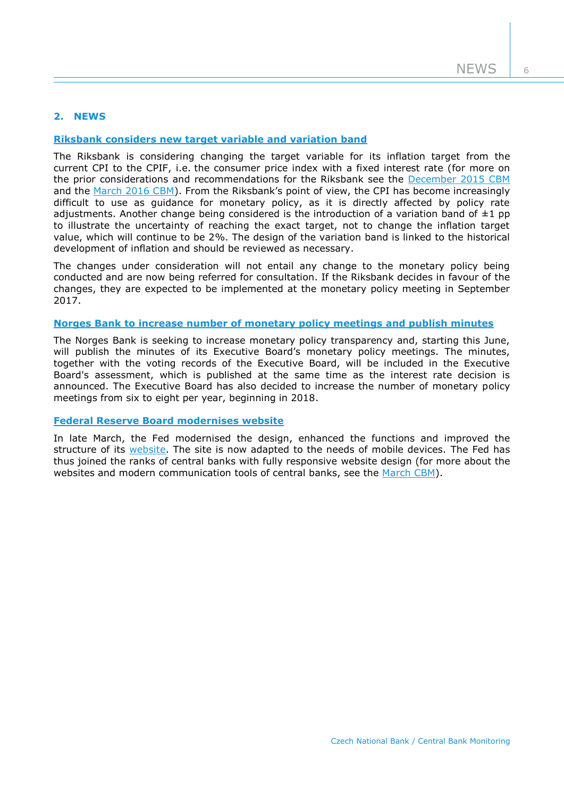# **2. NEWS**

## **[Riksbank considers new target variable and variation band](http://www.riksbank.se/en/Press-and-published/Press-Releases/2017/The-Riksbank-considers-new-target-variable-and-variation-band/)**

The Riksbank is considering changing the target variable for its inflation target from the current CPI to the CPIF, i.e. the consumer price index with a fixed interest rate (for more on the prior considerations and recommendations for the Riksbank see the [December 2015 CBM](http://www.cnb.cz/miranda2/export/sites/www.cnb.cz/en/monetary_policy/monitoring/download/1504_cbm.pdf) and the [March 2016 CBM\)](http://www.cnb.cz/miranda2/export/sites/www.cnb.cz/en/monetary_policy/monitoring/download/1601_cbm.pdf). From the Riksbank's point of view, the CPI has become increasingly difficult to use as guidance for monetary policy, as it is directly affected by policy rate adjustments. Another change being considered is the introduction of a variation band of  $\pm 1$  pp to illustrate the uncertainty of reaching the exact target, not to change the inflation target value, which will continue to be 2%. The design of the variation band is linked to the historical development of inflation and should be reviewed as necessary.

The changes under consideration will not entail any change to the monetary policy being conducted and are now being referred for consultation. If the Riksbank decides in favour of the changes, they are expected to be implemented at the monetary policy meeting in September 2017.

## **[Norges Bank to increase number of monetary policy meetings and publish minutes](http://www.norges-bank.no/en/Published/Press-releases/2017/2017-05-04-press-release2/)**

The Norges Bank is seeking to increase monetary policy transparency and, starting this June, will publish the minutes of its Executive Board's monetary policy meetings. The minutes, together with the voting records of the Executive Board, will be included in the Executive Board's assessment, which is published at the same time as the interest rate decision is announced. The Executive Board has also decided to increase the number of monetary policy meetings from six to eight per year, beginning in 2018.

## **[Federal Reserve Board](https://www.federalreserve.gov/newsevents/pressreleases/other20170320a.htm) modernises website**

In late March, the Fed modernised the design, enhanced the functions and improved the structure of its [website.](https://www.federalreserve.gov/) The site is now adapted to the needs of mobile devices. The Fed has thus joined the ranks of central banks with fully responsive website design (for more about the websites and modern communication tools of central banks, see the [March CBM\)](http://www.cnb.cz/miranda2/export/sites/www.cnb.cz/en/monetary_policy/monitoring/download/1701_cbm.pdf).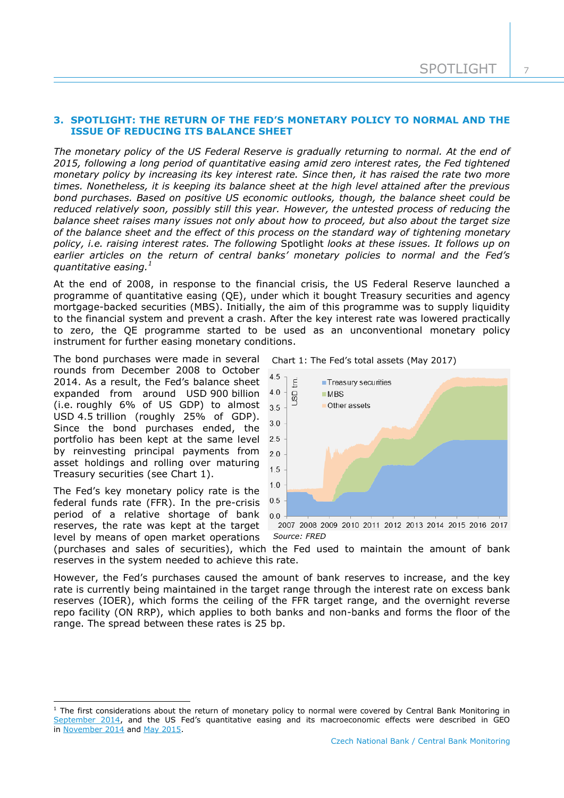## **3. SPOTLIGHT: THE RETURN OF THE FED'S MONETARY POLICY TO NORMAL AND THE ISSUE OF REDUCING ITS BALANCE SHEET**

*The monetary policy of the US Federal Reserve is gradually returning to normal. At the end of 2015, following a long period of quantitative easing amid zero interest rates, the Fed tightened monetary policy by increasing its key interest rate. Since then, it has raised the rate two more times. Nonetheless, it is keeping its balance sheet at the high level attained after the previous bond purchases. Based on positive US economic outlooks, though, the balance sheet could be reduced relatively soon, possibly still this year. However, the untested process of reducing the balance sheet raises many issues not only about how to proceed, but also about the target size of the balance sheet and the effect of this process on the standard way of tightening monetary policy, i.e. raising interest rates. The following* Spotlight *looks at these issues. It follows up on earlier articles on the return of central banks' monetary policies to normal and the Fed's quantitative easing.<sup>1</sup>*

At the end of 2008, in response to the financial crisis, the US Federal Reserve launched a programme of quantitative easing (QE), under which it bought Treasury securities and agency mortgage-backed securities (MBS). Initially, the aim of this programme was to supply liquidity to the financial system and prevent a crash. After the key interest rate was lowered practically to zero, the QE programme started to be used as an unconventional monetary policy instrument for further easing monetary conditions.

The bond purchases were made in several rounds from December 2008 to October 2014. As a result, the Fed's balance sheet expanded from around USD 900 billion (i.e. roughly 6% of US GDP) to almost USD 4.5 trillion (roughly 25% of GDP). Since the bond purchases ended, the portfolio has been kept at the same level by reinvesting principal payments from asset holdings and rolling over maturing Treasury securities (see Chart 1).

The Fed's key monetary policy rate is the federal funds rate (FFR). In the pre-crisis period of a relative shortage of bank reserves, the rate was kept at the target level by means of open market operations

-

Chart 1: The Fed's total assets (May 2017)



*Source: FRED*

(purchases and sales of securities), which the Fed used to maintain the amount of bank reserves in the system needed to achieve this rate.

However, the Fed's purchases caused the amount of bank reserves to increase, and the key rate is currently being maintained in the target range through the interest rate on excess bank reserves (IOER), which forms the ceiling of the FFR target range, and the overnight reverse repo facility (ON RRP), which applies to both banks and non-banks and forms the floor of the range. The spread between these rates is 25 bp.

 $1$  The first considerations about the return of monetary policy to normal were covered by Central Bank Monitoring in [September 2014](https://www.cnb.cz/miranda2/export/sites/www.cnb.cz/en/monetary_policy/monitoring/download/1403_cbm.pdf), and the US Fed's quantitative easing and its macroeconomic effects were described in GEO in [November 2014](https://www.cnb.cz/miranda2/export/sites/www.cnb.cz/en/monetary_policy/geo/geo_2014/gev_2014_11_en.pdf) and [May 2015.](https://www.cnb.cz/miranda2/export/sites/www.cnb.cz/en/monetary_policy/geo/geo_2015/gev_2015_05_en.pdf)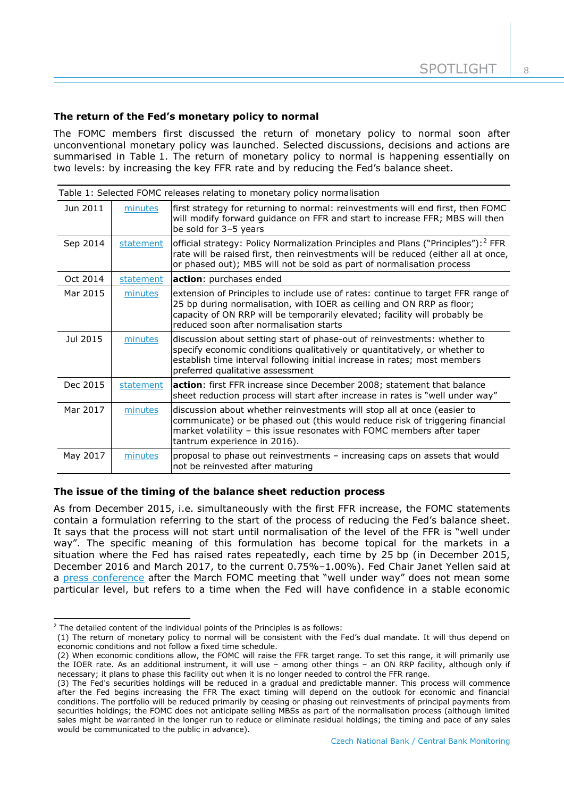## **The return of the Fed's monetary policy to normal**

The FOMC members first discussed the return of monetary policy to normal soon after unconventional monetary policy was launched. Selected discussions, decisions and actions are summarised in Table 1. The return of monetary policy to normal is happening essentially on two levels: by increasing the key FFR rate and by reducing the Fed's balance sheet.

| Table 1: Selected FOMC releases relating to monetary policy normalisation |           |                                                                                                                                                                                                                                                                                    |  |  |
|---------------------------------------------------------------------------|-----------|------------------------------------------------------------------------------------------------------------------------------------------------------------------------------------------------------------------------------------------------------------------------------------|--|--|
| Jun 2011                                                                  | minutes   | first strategy for returning to normal: reinvestments will end first, then FOMC<br>will modify forward guidance on FFR and start to increase FFR; MBS will then<br>be sold for 3-5 years                                                                                           |  |  |
| Sep 2014                                                                  | statement | official strategy: Policy Normalization Principles and Plans ("Principles"): <sup>2</sup> FFR<br>rate will be raised first, then reinvestments will be reduced (either all at once,<br>or phased out); MBS will not be sold as part of normalisation process                       |  |  |
| Oct 2014                                                                  | statement | action: purchases ended                                                                                                                                                                                                                                                            |  |  |
| Mar 2015                                                                  | minutes   | extension of Principles to include use of rates: continue to target FFR range of<br>25 bp during normalisation, with IOER as ceiling and ON RRP as floor;<br>capacity of ON RRP will be temporarily elevated; facility will probably be<br>reduced soon after normalisation starts |  |  |
| Jul 2015                                                                  | minutes   | discussion about setting start of phase-out of reinvestments: whether to<br>specify economic conditions qualitatively or quantitatively, or whether to<br>establish time interval following initial increase in rates; most members<br>preferred qualitative assessment            |  |  |
| Dec 2015                                                                  | statement | action: first FFR increase since December 2008; statement that balance<br>sheet reduction process will start after increase in rates is "well under way"                                                                                                                           |  |  |
| Mar 2017                                                                  | minutes   | discussion about whether reinvestments will stop all at once (easier to<br>communicate) or be phased out (this would reduce risk of triggering financial<br>market volatility - this issue resonates with FOMC members after taper<br>tantrum experience in 2016).                 |  |  |
| May 2017                                                                  | minutes   | proposal to phase out reinvestments - increasing caps on assets that would<br>not be reinvested after maturing                                                                                                                                                                     |  |  |

#### **The issue of the timing of the balance sheet reduction process**

As from December 2015, i.e. simultaneously with the first FFR increase, the FOMC statements contain a formulation referring to the start of the process of reducing the Fed's balance sheet. It says that the process will not start until normalisation of the level of the FFR is "well under way". The specific meaning of this formulation has become topical for the markets in a situation where the Fed has raised rates repeatedly, each time by 25 bp (in December 2015, December 2016 and March 2017, to the current 0.75%–1.00%). Fed Chair Janet Yellen said at a [press conference](https://www.federalreserve.gov/mediacenter/files/FOMCpresconf20170315.pdf) after the March FOMC meeting that "well under way" does not mean some particular level, but refers to a time when the Fed will have confidence in a stable economic

-

 $2$  The detailed content of the individual points of the Principles is as follows:

<sup>(1)</sup> The return of monetary policy to normal will be consistent with the Fed's dual mandate. It will thus depend on economic conditions and not follow a fixed time schedule.

<sup>(2)</sup> When economic conditions allow, the FOMC will raise the FFR target range. To set this range, it will primarily use the IOER rate. As an additional instrument, it will use – among other things – an ON RRP facility, although only if necessary; it plans to phase this facility out when it is no longer needed to control the FFR range.

<sup>(3)</sup> The Fed's securities holdings will be reduced in a gradual and predictable manner. This process will commence after the Fed begins increasing the FFR The exact timing will depend on the outlook for economic and financial conditions. The portfolio will be reduced primarily by ceasing or phasing out reinvestments of principal payments from securities holdings; the FOMC does not anticipate selling MBSs as part of the normalisation process (although limited sales might be warranted in the longer run to reduce or eliminate residual holdings; the timing and pace of any sales would be communicated to the public in advance).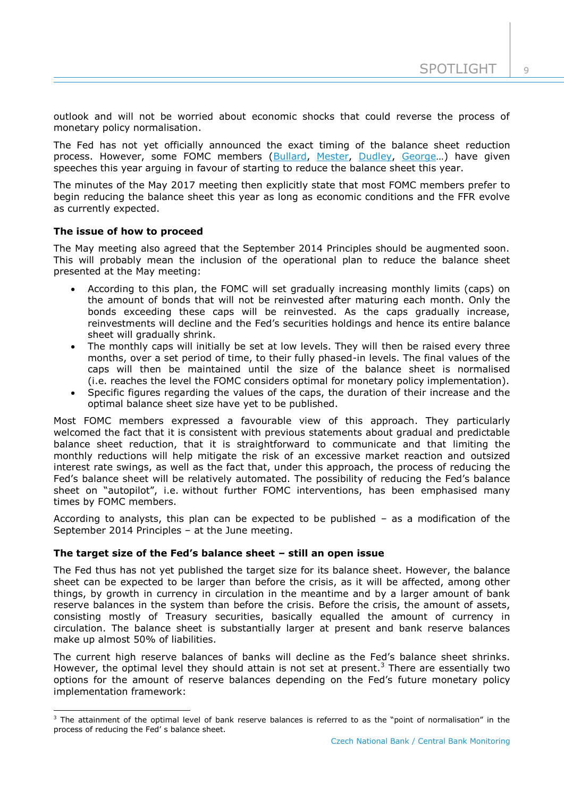$\cup$ 

outlook and will not be worried about economic shocks that could reverse the process of monetary policy normalisation.

The Fed has not yet officially announced the exact timing of the balance sheet reduction process. However, some FOMC members [\(Bullard,](https://www.stlouisfed.org/news-releases/2017/02/28/bullard-discusses-feds-balance-sheet) [Mester,](https://www.clevelandfed.org/newsroom%20and%20events/speeches/sp%2020170321%20economic%20outlook%20and%20monetary%20policy%20communications) [Dudley,](https://www.ft.com/content/332700f8-ca77-3888-970f-001b14f95b23) [George](https://www.kansascityfed.org/~/media/files/publicat/speeches/2017/2017-george-ny-4-18.pdf)…) have given speeches this year arguing in favour of starting to reduce the balance sheet this year.

The minutes of the May 2017 meeting then explicitly state that most FOMC members prefer to begin reducing the balance sheet this year as long as economic conditions and the FFR evolve as currently expected.

## **The issue of how to proceed**

-

The May meeting also agreed that the September 2014 Principles should be augmented soon. This will probably mean the inclusion of the operational plan to reduce the balance sheet presented at the May meeting:

- According to this plan, the FOMC will set gradually increasing monthly limits (caps) on the amount of bonds that will not be reinvested after maturing each month. Only the bonds exceeding these caps will be reinvested. As the caps gradually increase, reinvestments will decline and the Fed's securities holdings and hence its entire balance sheet will gradually shrink.
- The monthly caps will initially be set at low levels. They will then be raised every three months, over a set period of time, to their fully phased-in levels. The final values of the caps will then be maintained until the size of the balance sheet is normalised (i.e. reaches the level the FOMC considers optimal for monetary policy implementation).
- Specific figures regarding the values of the caps, the duration of their increase and the optimal balance sheet size have yet to be published.

Most FOMC members expressed a favourable view of this approach. They particularly welcomed the fact that it is consistent with previous statements about gradual and predictable balance sheet reduction, that it is straightforward to communicate and that limiting the monthly reductions will help mitigate the risk of an excessive market reaction and outsized interest rate swings, as well as the fact that, under this approach, the process of reducing the Fed's balance sheet will be relatively automated. The possibility of reducing the Fed's balance sheet on "autopilot", i.e. without further FOMC interventions, has been emphasised many times by FOMC members.

According to analysts, this plan can be expected to be published – as a modification of the September 2014 Principles – at the June meeting.

## **The target size of the Fed's balance sheet – still an open issue**

The Fed thus has not yet published the target size for its balance sheet. However, the balance sheet can be expected to be larger than before the crisis, as it will be affected, among other things, by growth in currency in circulation in the meantime and by a larger amount of bank reserve balances in the system than before the crisis. Before the crisis, the amount of assets, consisting mostly of Treasury securities, basically equalled the amount of currency in circulation. The balance sheet is substantially larger at present and bank reserve balances make up almost 50% of liabilities.

The current high reserve balances of banks will decline as the Fed's balance sheet shrinks. However, the optimal level they should attain is not set at present.<sup>3</sup> There are essentially two options for the amount of reserve balances depending on the Fed's future monetary policy implementation framework:

 $3$  The attainment of the optimal level of bank reserve balances is referred to as the "point of normalisation" in the process of reducing the Fed' s balance sheet.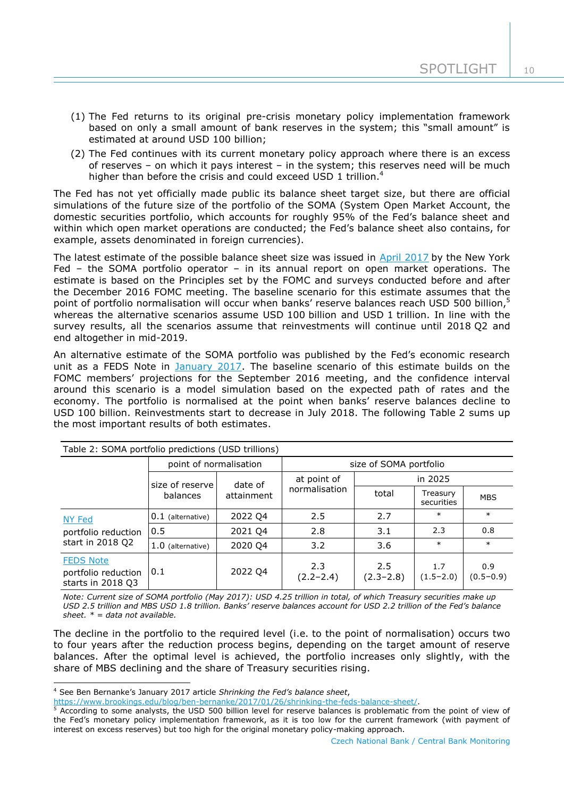- (1) The Fed returns to its original pre-crisis monetary policy implementation framework based on only a small amount of bank reserves in the system; this "small amount" is estimated at around USD 100 billion;
- (2) The Fed continues with its current monetary policy approach where there is an excess of reserves – on which it pays interest – in the system; this reserves need will be much higher than before the crisis and could exceed USD 1 trillion.<sup>4</sup>

The Fed has not yet officially made public its balance sheet target size, but there are official simulations of the future size of the portfolio of the SOMA (System Open Market Account, the domestic securities portfolio, which accounts for roughly 95% of the Fed's balance sheet and within which open market operations are conducted; the Fed's balance sheet also contains, for example, assets denominated in foreign currencies).

The latest estimate of the possible balance sheet size was issued in [April 2017](https://www.newyorkfed.org/medialibrary/media/markets/omo/omo2016-pdf.pdf) by the New York Fed – the SOMA portfolio operator – in its annual report on open market operations. The estimate is based on the Principles set by the FOMC and surveys conducted before and after the December 2016 FOMC meeting. The baseline scenario for this estimate assumes that the point of portfolio normalisation will occur when banks' reserve balances reach USD 500 billion,<sup>5</sup> whereas the alternative scenarios assume USD 100 billion and USD 1 trillion. In line with the survey results, all the scenarios assume that reinvestments will continue until 2018 Q2 and end altogether in mid-2019.

An alternative estimate of the SOMA portfolio was published by the Fed's economic research unit as a FEDS Note in [January 2017.](https://www.federalreserve.gov/econresdata/notes/feds-notes/2017/confidence-interval-projections-of-the-federal-reserve-balance-sheet-and-income-20170113.html) The baseline scenario of this estimate builds on the FOMC members' projections for the September 2016 meeting, and the confidence interval around this scenario is a model simulation based on the expected path of rates and the economy. The portfolio is normalised at the point when banks' reserve balances decline to USD 100 billion. Reinvestments start to decrease in July 2018. The following Table 2 sums up the most important results of both estimates.

| Table 2: SOMA portfolio predictions (USD trillions)          |                        |                       |                              |                      |                        |                      |
|--------------------------------------------------------------|------------------------|-----------------------|------------------------------|----------------------|------------------------|----------------------|
|                                                              | point of normalisation |                       | size of SOMA portfolio       |                      |                        |                      |
|                                                              | size of reserve        | date of<br>attainment | at point of<br>normalisation | in 2025              |                        |                      |
|                                                              | balances               |                       |                              | total                | Treasury<br>securities | <b>MBS</b>           |
| NY Fed<br>portfolio reduction<br>start in 2018 Q2            | $0.1$ (alternative)    | 2022 Q4               | 2.5                          | 2.7                  | $\ast$                 | $\ast$               |
|                                                              | 0.5                    | 2021 Q4               | 2.8                          | 3.1                  | 2.3                    | 0.8                  |
|                                                              | 1.0 (alternative)      | 2020 Q4               | 3.2                          | 3.6                  | $\ast$                 | $\ast$               |
| <b>FEDS Note</b><br>portfolio reduction<br>starts in 2018 Q3 | 0.1                    | 2022 Q4               | 2.3<br>$(2.2 - 2.4)$         | 2.5<br>$(2.3 - 2.8)$ | 1.7<br>$(1.5 - 2.0)$   | 0.9<br>$(0.5 - 0.9)$ |

*Note: Current size of SOMA portfolio (May 2017): USD 4.25 trillion in total, of which Treasury securities make up USD 2.5 trillion and MBS USD 1.8 trillion. Banks' reserve balances account for USD 2.2 trillion of the Fed's balance sheet. \* = data not available.*

The decline in the portfolio to the required level (i.e. to the point of normalisation) occurs two to four years after the reduction process begins, depending on the target amount of reserve balances. After the optimal level is achieved, the portfolio increases only slightly, with the share of MBS declining and the share of Treasury securities rising.

1

<sup>4</sup> See Ben Bernanke's January 2017 article *Shrinking the Fed's balance sheet*,

[https://www.brookings.edu/blog/ben-bernanke/2017/01/26/shrinking-the-feds-balance-sheet/.](https://www.brookings.edu/blog/ben-bernanke/2017/01/26/shrinking-the-feds-balance-sheet/)

 $5$  According to some analysts, the USD 500 billion level for reserve balances is problematic from the point of view of the Fed's monetary policy implementation framework, as it is too low for the current framework (with payment of interest on excess reserves) but too high for the original monetary policy-making approach.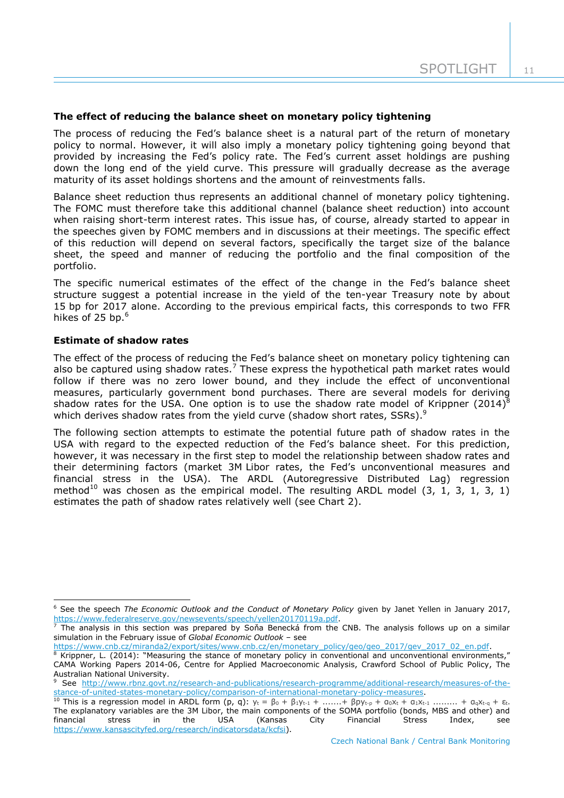## **The effect of reducing the balance sheet on monetary policy tightening**

The process of reducing the Fed's balance sheet is a natural part of the return of monetary policy to normal. However, it will also imply a monetary policy tightening going beyond that provided by increasing the Fed's policy rate. The Fed's current asset holdings are pushing down the long end of the yield curve. This pressure will gradually decrease as the average maturity of its asset holdings shortens and the amount of reinvestments falls.

Balance sheet reduction thus represents an additional channel of monetary policy tightening. The FOMC must therefore take this additional channel (balance sheet reduction) into account when raising short-term interest rates. This issue has, of course, already started to appear in the speeches given by FOMC members and in discussions at their meetings. The specific effect of this reduction will depend on several factors, specifically the target size of the balance sheet, the speed and manner of reducing the portfolio and the final composition of the portfolio.

The specific numerical estimates of the effect of the change in the Fed's balance sheet structure suggest a potential increase in the yield of the ten-year Treasury note by about 15 bp for 2017 alone. According to the previous empirical facts, this corresponds to two FFR hikes of 25 bp.<sup>6</sup>

#### **Estimate of shadow rates**

-

The effect of the process of reducing the Fed's balance sheet on monetary policy tightening can also be captured using shadow rates.<sup>7</sup> These express the hypothetical path market rates would follow if there was no zero lower bound, and they include the effect of unconventional measures, particularly government bond purchases. There are several models for deriving shadow rates for the USA. One option is to use the shadow rate model of Krippner (2014)<sup>8</sup> which derives shadow rates from the yield curve (shadow short rates, SSRs).<sup>9</sup>

The following section attempts to estimate the potential future path of shadow rates in the USA with regard to the expected reduction of the Fed's balance sheet. For this prediction, however, it was necessary in the first step to model the relationship between shadow rates and their determining factors (market 3M Libor rates, the Fed's unconventional measures and financial stress in the USA). The ARDL (Autoregressive Distributed Lag) regression method<sup>10</sup> was chosen as the empirical model. The resulting ARDL model  $(3, 1, 3, 1, 3, 1)$ estimates the path of shadow rates relatively well (see Chart 2).

<sup>6</sup> See the speech *The Economic Outlook and the Conduct of Monetary Policy* given by Janet Yellen in January 2017, [https://www.federalreserve.gov/newsevents/speech/yellen20170119a.pdf.](https://www.federalreserve.gov/newsevents/speech/yellen20170119a.pdf)

<sup>7</sup> The analysis in this section was prepared by Soňa Benecká from the CNB. The analysis follows up on a similar simulation in the February issue of *Global Economic Outlook* – see

[https://www.cnb.cz/miranda2/export/sites/www.cnb.cz/en/monetary\\_policy/geo/geo\\_2017/gev\\_2017\\_02\\_en.pdf.](https://www.cnb.cz/miranda2/export/sites/www.cnb.cz/en/monetary_policy/geo/geo_2017/gev_2017_02_en.pdf)

Krippner, L. (2014): "Measuring the stance of monetary policy in conventional and unconventional environments," CAMA Working Papers 2014-06, Centre for Applied Macroeconomic Analysis, Crawford School of Public Policy, The Australian National University.

<sup>9</sup> See [http://www.rbnz.govt.nz/research-and-publications/research-programme/additional-research/measures-of-the](http://www.rbnz.govt.nz/research-and-publications/research-programme/additional-research/measures-of-the-stance-of-united-states-monetary-policy/comparison-of-international-monetary-policy-measures)[stance-of-united-states-monetary-policy/comparison-of-international-monetary-policy-measures.](http://www.rbnz.govt.nz/research-and-publications/research-programme/additional-research/measures-of-the-stance-of-united-states-monetary-policy/comparison-of-international-monetary-policy-measures)

<sup>&</sup>lt;sup>10</sup> This is a regression model in ARDL form (p, q):  $y_t = \beta_0 + \beta_1 y_{t-1} + ... + \beta_p y_{t-p} + \alpha_0 x_t + \alpha_1 x_{t-1} + ...$   $+ \alpha_q x_{t-q} + \varepsilon_t$ . The explanatory variables are the 3M Libor, the main components of the SOMA portfolio (bonds, MBS and other) and financial stress in the USA (Kansas City Financial Stress Index, see [https://www.kansascityfed.org/research/indicatorsdata/kcfsi\)](https://www.kansascityfed.org/research/indicatorsdata/kcfsi).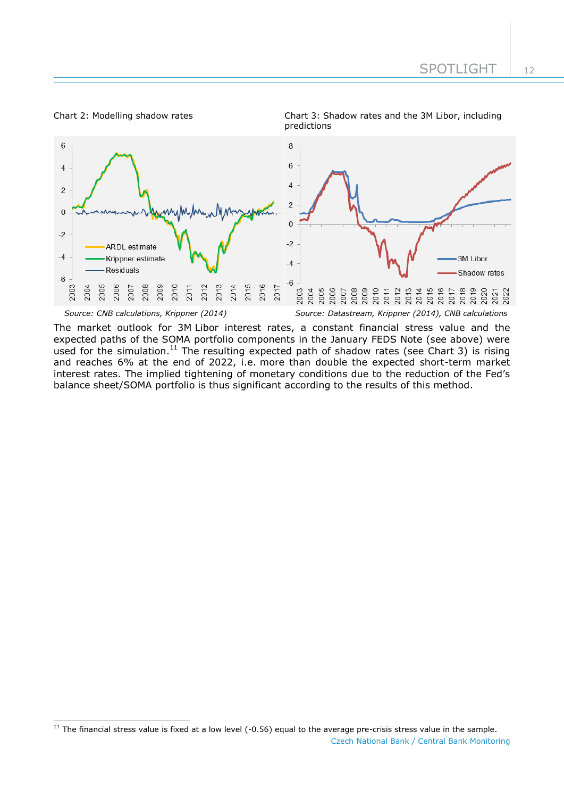#### Chart 2: Modelling shadow rates Chart 3: Shadow rates and the 3M Libor, including

-



The market outlook for 3M Libor interest rates, a constant financial stress value and the expected paths of the SOMA portfolio components in the January FEDS Note (see above) were used for the simulation.<sup>11</sup> The resulting expected path of shadow rates (see Chart 3) is rising and reaches 6% at the end of 2022, i.e. more than double the expected short-term market interest rates. The implied tightening of monetary conditions due to the reduction of the Fed's balance sheet/SOMA portfolio is thus significant according to the results of this method.

Czech National Bank / Central Bank Monitoring  $11$  The financial stress value is fixed at a low level (-0.56) equal to the average pre-crisis stress value in the sample.